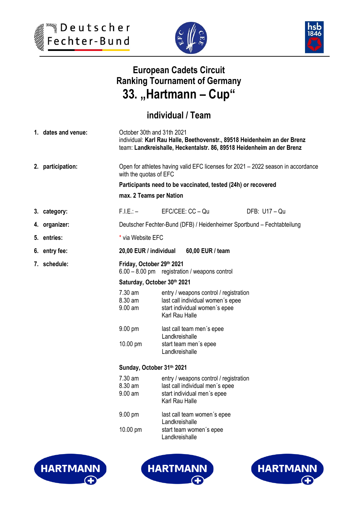





# **European Cadets Circuit Ranking Tournament of Germany 33. "Hartmann – Cup"**

## **individual / Team**

| 1. dates and venue: | October 30th and 31th 2021<br>individual: Karl Rau Halle, Beethovenstr., 89518 Heidenheim an der Brenz<br>team: Landkreishalle, Heckentalstr. 86, 89518 Heidenheim an der Brenz |                                                                                                                                |               |  |  |
|---------------------|---------------------------------------------------------------------------------------------------------------------------------------------------------------------------------|--------------------------------------------------------------------------------------------------------------------------------|---------------|--|--|
| 2. participation:   | Open for athletes having valid EFC licenses for 2021 - 2022 season in accordance<br>with the quotas of EFC                                                                      |                                                                                                                                |               |  |  |
|                     | Participants need to be vaccinated, tested (24h) or recovered                                                                                                                   |                                                                                                                                |               |  |  |
|                     | max. 2 Teams per Nation                                                                                                                                                         |                                                                                                                                |               |  |  |
| 3. category:        | $F.I.E.: -$                                                                                                                                                                     | EFC/CEE: CC - Qu                                                                                                               | DFB: U17 - Qu |  |  |
| 4. organizer:       | Deutscher Fechter-Bund (DFB) / Heidenheimer Sportbund - Fechtabteilung                                                                                                          |                                                                                                                                |               |  |  |
| 5. entries:         | * via Website EFC                                                                                                                                                               |                                                                                                                                |               |  |  |
| 6. entry fee:       | 20,00 EUR / individual<br>60,00 EUR / team                                                                                                                                      |                                                                                                                                |               |  |  |
| 7. schedule:        | Friday, October 29th 2021<br>6.00 - 8.00 pm registration / weapons control                                                                                                      |                                                                                                                                |               |  |  |
|                     | Saturday, October 30th 2021                                                                                                                                                     |                                                                                                                                |               |  |  |
|                     | 7.30 am<br>8.30 am<br>$9.00$ am                                                                                                                                                 | entry / weapons control / registration<br>last call individual women's epee<br>start individual women's epee<br>Karl Rau Halle |               |  |  |
|                     | $9.00 \text{ pm}$                                                                                                                                                               | last call team men's epee<br>Landkreishalle                                                                                    |               |  |  |
|                     | 10.00 pm                                                                                                                                                                        | start team men's epee<br>Landkreishalle                                                                                        |               |  |  |
|                     | Sunday, October 31th 2021                                                                                                                                                       |                                                                                                                                |               |  |  |
|                     | 7.30 am<br>8.30 am<br>$9.00$ am                                                                                                                                                 | entry / weapons control / registration<br>last call individual men's epee<br>start individual men's epee<br>Karl Rau Halle     |               |  |  |
|                     | 9.00 pm                                                                                                                                                                         | last call team women's epee<br>Landkreishalle                                                                                  |               |  |  |
|                     | 10.00 pm                                                                                                                                                                        | start team women's epee<br>Landkreishalle                                                                                      |               |  |  |





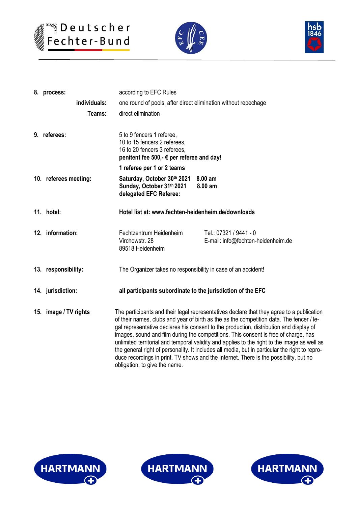





|  | according to EFC Rules<br>8. process: |                                                                                                                                                                               |  |  |  |  |
|--|---------------------------------------|-------------------------------------------------------------------------------------------------------------------------------------------------------------------------------|--|--|--|--|
|  | individuals:                          | one round of pools, after direct elimination without repechage                                                                                                                |  |  |  |  |
|  | Teams:                                | direct elimination                                                                                                                                                            |  |  |  |  |
|  |                                       |                                                                                                                                                                               |  |  |  |  |
|  | 9. referees:                          | 5 to 9 fencers 1 referee,                                                                                                                                                     |  |  |  |  |
|  |                                       | 10 to 15 fencers 2 referees.<br>16 to 20 fencers 3 referees,                                                                                                                  |  |  |  |  |
|  |                                       | penitent fee 500,- € per referee and day!                                                                                                                                     |  |  |  |  |
|  |                                       | 1 referee per 1 or 2 teams                                                                                                                                                    |  |  |  |  |
|  | 10. referees meeting:                 | Saturday, October 30th 2021 8.00 am                                                                                                                                           |  |  |  |  |
|  |                                       | Sunday, October 31th 2021<br>8.00 am<br>delegated EFC Referee:                                                                                                                |  |  |  |  |
|  |                                       |                                                                                                                                                                               |  |  |  |  |
|  | 11. hotel:                            | Hotel list at: www.fechten-heidenheim.de/downloads                                                                                                                            |  |  |  |  |
|  |                                       |                                                                                                                                                                               |  |  |  |  |
|  | 12. information:                      | Fechtzentrum Heidenheim<br>Tel.: 07321 / 9441 - 0                                                                                                                             |  |  |  |  |
|  |                                       | Virchowstr, 28<br>E-mail: info@fechten-heidenheim.de<br>89518 Heidenheim                                                                                                      |  |  |  |  |
|  |                                       |                                                                                                                                                                               |  |  |  |  |
|  | 13. responsibility:                   | The Organizer takes no responsibility in case of an accident!                                                                                                                 |  |  |  |  |
|  |                                       |                                                                                                                                                                               |  |  |  |  |
|  | 14. jurisdiction:                     | all participants subordinate to the jurisdiction of the EFC                                                                                                                   |  |  |  |  |
|  |                                       |                                                                                                                                                                               |  |  |  |  |
|  | 15. image / TV rights                 | The participants and their legal representatives declare that they agree to a publication                                                                                     |  |  |  |  |
|  |                                       | of their names, clubs and year of birth as the as the competition data. The fencer / le-                                                                                      |  |  |  |  |
|  |                                       | gal representative declares his consent to the production, distribution and display of<br>images, sound and film during the competitions. This consent is free of charge, has |  |  |  |  |
|  |                                       | unlimited territorial and temporal validity and applies to the right to the image as well as                                                                                  |  |  |  |  |
|  |                                       | the general right of personality. It includes all media, but in particular the right to repro-                                                                                |  |  |  |  |
|  |                                       | duce recordings in print, TV shows and the Internet. There is the possibility, but no                                                                                         |  |  |  |  |
|  |                                       | obligation, to give the name.                                                                                                                                                 |  |  |  |  |





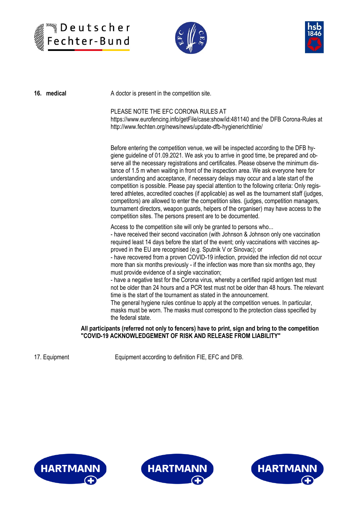





| 16. medical | A doctor is present in the competition site.                                                                                                                                                                                                                                                                                                                                                                                                                                                                                                                                                                                                                                                                                                                                                                                                                                                                                                                                                                                        |
|-------------|-------------------------------------------------------------------------------------------------------------------------------------------------------------------------------------------------------------------------------------------------------------------------------------------------------------------------------------------------------------------------------------------------------------------------------------------------------------------------------------------------------------------------------------------------------------------------------------------------------------------------------------------------------------------------------------------------------------------------------------------------------------------------------------------------------------------------------------------------------------------------------------------------------------------------------------------------------------------------------------------------------------------------------------|
|             | PLEASE NOTE THE EFC CORONA RULES AT<br>https://www.eurofencing.info/getFile/case:show/id:481140 and the DFB Corona-Rules at<br>http://www.fechten.org/news/news/update-dfb-hygienerichtlinie/                                                                                                                                                                                                                                                                                                                                                                                                                                                                                                                                                                                                                                                                                                                                                                                                                                       |
|             | Before entering the competition venue, we will be inspected according to the DFB hy-<br>giene guideline of 01.09.2021. We ask you to arrive in good time, be prepared and ob-<br>serve all the necessary registrations and certificates. Please observe the minimum dis-<br>tance of 1.5 m when waiting in front of the inspection area. We ask everyone here for<br>understanding and acceptance, if necessary delays may occur and a late start of the<br>competition is possible. Please pay special attention to the following criteria: Only regis-<br>tered athletes, accredited coaches (if applicable) as well as the tournament staff (judges,<br>competitors) are allowed to enter the competition sites. (judges, competition managers,<br>tournament directors, weapon guards, helpers of the organiser) may have access to the<br>competition sites. The persons present are to be documented.                                                                                                                         |
|             | Access to the competition site will only be granted to persons who<br>- have received their second vaccination (with Johnson & Johnson only one vaccination<br>required least 14 days before the start of the event; only vaccinations with vaccines ap-<br>proved in the EU are recognised (e.g. Sputnik V or Sinovac); or<br>- have recovered from a proven COVID-19 infection, provided the infection did not occur<br>more than six months previously - if the infection was more than six months ago, they<br>must provide evidence of a single vaccination;<br>- have a negative test for the Corona virus, whereby a certified rapid antigen test must<br>not be older than 24 hours and a PCR test must not be older than 48 hours. The relevant<br>time is the start of the tournament as stated in the announcement.<br>The general hygiene rules continue to apply at the competition venues. In particular,<br>masks must be worn. The masks must correspond to the protection class specified by<br>the federal state. |
|             | All participants (referred not only to fencers) have to print, sign and bring to the competition<br>"COVID-19 ACKNOWLEDGEMENT OF RISK AND RELEASE FROM LIABILITY"                                                                                                                                                                                                                                                                                                                                                                                                                                                                                                                                                                                                                                                                                                                                                                                                                                                                   |

17. Equipment Equipment according to definition FIE, EFC and DFB.





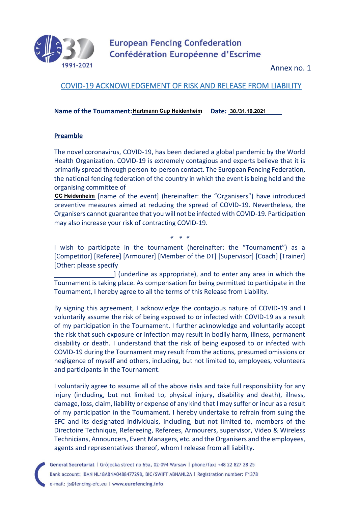

**European Fencing Confederation** Confédération Européenne d'Escrime

Annex no. 1

### COVID-19 ACKNOWLEDGEMENT OF RISK AND RELEASE FROM LIABILITY

Name of the Tournament: Hartmann Cup Heidenheim Date: 30./31.10.2021

#### **Preamble**

The novel coronavirus, COVID-19, has been declared a global pandemic by the World Health Organization. COVID-19 is extremely contagious and experts believe that it is primarily spread through person-to-person contact. The European Fencing Federation, the national fencing federation of the country in which the event is being held and the organising committee of

cc Heidenheim [name of the event] (hereinafter: the "Organisers") have introduced preventive measures aimed at reducing the spread of COVID-19. Nevertheless, the Organisers cannot guarantee that you will not be infected with COVID-19. Participation may also increase your risk of contracting COVID-19.

I wish to participate in the tournament (hereinafter: the "Tournament") as a [Competitor] [Referee] [Armourer] [Member of the DT] [Supervisor] [Coach] [Trainer] [Other: please specify

*\* \* \**

 ] (underline as appropriate), and to enter any area in which the Tournament is taking place. As compensation for being permitted to participate in the Tournament, I hereby agree to all the terms of this Release from Liability.

By signing this agreement, I acknowledge the contagious nature of COVID-19 and I voluntarily assume the risk of being exposed to or infected with COVID-19 as a result of my participation in the Tournament. I further acknowledge and voluntarily accept the risk that such exposure or infection may result in bodily harm, illness, permanent disability or death. I understand that the risk of being exposed to or infected with COVID-19 during the Tournament may result from the actions, presumed omissions or negligence of myself and others, including, but not limited to, employees, volunteers and participants in the Tournament.

I voluntarily agree to assume all of the above risks and take full responsibility for any injury (including, but not limited to, physical injury, disability and death), illness, damage, loss, claim, liability or expense of any kind that I may suffer or incur as a result of my participation in the Tournament. I hereby undertake to refrain from suing the EFC and its designated individuals, including, but not limited to, members of the Directoire Technique, Refereeing, Referees, Armourers, supervisor, Video & Wireless Technicians, Announcers, Event Managers, etc. and the Organisers and the employees, agents and representatives thereof, whom I release from all liability.